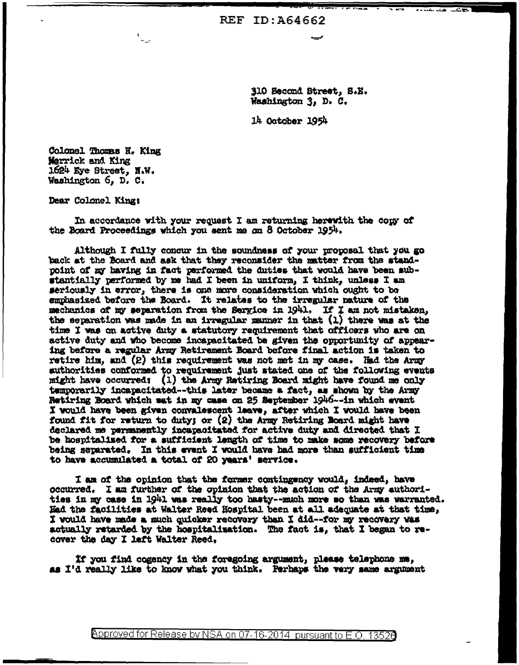**REF ID: A64662** 

310 Becond Street, S.E. Washington 3, D. C.

14 October 1954

Colonel Thomas H. King Marrick and King 1624 Eye Street, N.W. Washington 6, D. C.

Dear Colonel King:

In accordance with your request I am returning herewith the copy of the Board Proceedings which you sent me on 8 October 1954.

Although I fully concur in the soundness of your proposal that you go back at the Board and ask that they reconsider the matter from the standpoint of my having in fact performed the duties that would have been substantially performed by me had I been in uniform, I think, unless I am seriously in error, there is one more consideration which ought to be emphasized before the Board. It relates to the irregular nature of the mechanics of my separation from the Sergice in 1941. If I am not mistaken, the separation was made in an irregular manner in that  $(1)$  there was at the time I was on active duty a statutory requirement that officers who are on active duty and who become incapacitated be given the opportunity of appearing before a regular Army Retirement Board before final action is taken to retire him, and (2) this requirement was not met in my case. Had the Army authorities conformed to requirement just stated one of the following events might have occurred: (1) the Army Ratiring Board might have found me only temporarily incapacitated -- this later became a fact, as shown by the Army Retiring Board which sat in my case on 25 September 1946--in which event I would have been given convalescent leave. after which I would have been found fit for return to duty; or (2) the Army Retiring Board might have declared me permanently incapacitated for active duty and directed that I be hospitalized for a sufficient length of time to make some recovery before being separated. In this event I would have had more than sufficient time to have accumulated a total of 20 years' service.

I am of the opinion that the former contingency would, indeed, have occurred. I am further of the opinion that the action of the Army euthorities in my case in 1941 was really too hasty--much more so than was warranted. Had the facilities at Walter Reed Hospital been at all adequate at that time, I would have made a much quicker recovery than I did--for my recovery was actually retarded by the hospitalization. The fact is, that I began to recover the day I laft Walter Reed.

If you find cogency in the foregoing argument, please telephone me, as I'd really like to know what you think. Perhaps the very same argument

Approved for Release by NSA on 07-16-2014 pursuant to E.O. 13520